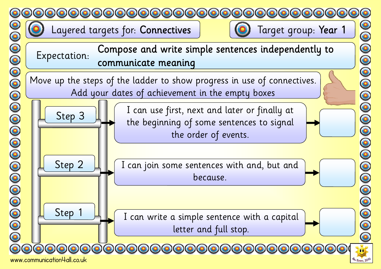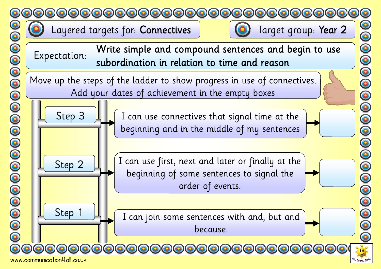



90000000000000000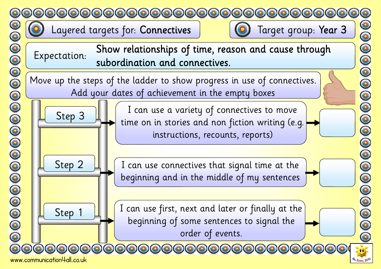



www.communication4all.co.uk



 $\bar{\bullet}$ 

0000000

00000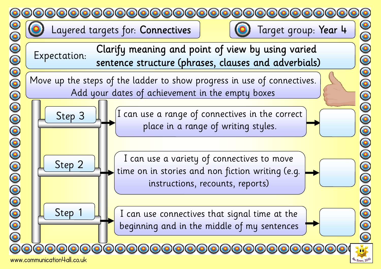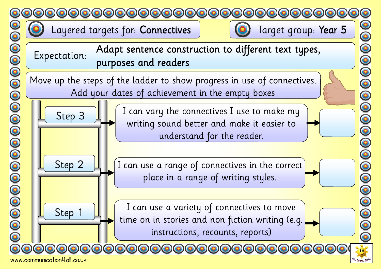